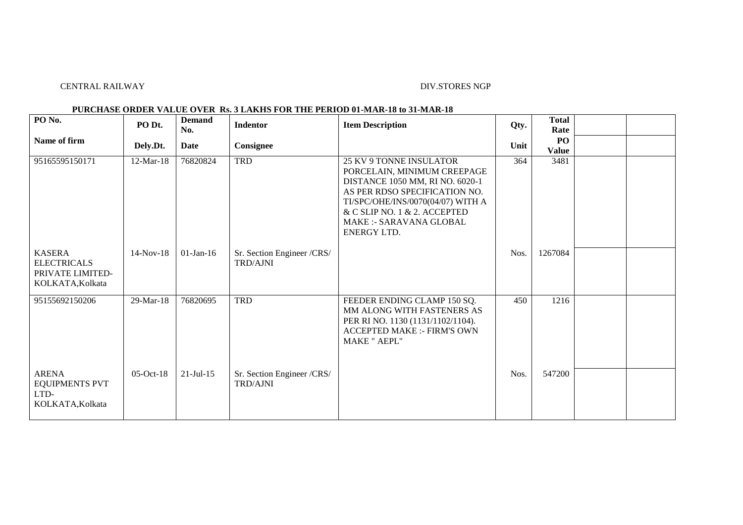## CENTRAL RAILWAY DIV.STORES NGP

## **PURCHASE ORDER VALUE OVER Rs. 3 LAKHS FOR THE PERIOD 01-MAR-18 to 31-MAR-18**

| PO <sub>No.</sub>                                                           | PO Dt.          | <b>Demand</b><br>No. | <b>Indentor</b>                               | <b>Item Description</b>                                                                                                                                                                                                                                        | Qty. | <b>Total</b><br>Rate |  |
|-----------------------------------------------------------------------------|-----------------|----------------------|-----------------------------------------------|----------------------------------------------------------------------------------------------------------------------------------------------------------------------------------------------------------------------------------------------------------------|------|----------------------|--|
| Name of firm                                                                | Dely.Dt.        | Date                 | Consignee                                     |                                                                                                                                                                                                                                                                | Unit | PO<br><b>Value</b>   |  |
| 95165595150171                                                              | $12$ -Mar-18    | 76820824             | <b>TRD</b>                                    | <b>25 KV 9 TONNE INSULATOR</b><br>PORCELAIN, MINIMUM CREEPAGE<br>DISTANCE 1050 MM, RI NO. 6020-1<br>AS PER RDSO SPECIFICATION NO.<br>TI/SPC/OHE/INS/0070(04/07) WITH A<br>& C SLIP NO. 1 & 2. ACCEPTED<br><b>MAKE :- SARAVANA GLOBAL</b><br><b>ENERGY LTD.</b> | 364  | 3481                 |  |
| <b>KASERA</b><br><b>ELECTRICALS</b><br>PRIVATE LIMITED-<br>KOLKATA, Kolkata | $14$ -Nov- $18$ | $01$ -Jan-16         | Sr. Section Engineer /CRS/<br><b>TRD/AJNI</b> |                                                                                                                                                                                                                                                                | Nos. | 1267084              |  |
| 95155692150206                                                              | 29-Mar-18       | 76820695             | <b>TRD</b>                                    | FEEDER ENDING CLAMP 150 SQ.<br>MM ALONG WITH FASTENERS AS<br>PER RI NO. 1130 (1131/1102/1104).<br><b>ACCEPTED MAKE :- FIRM'S OWN</b><br><b>MAKE " AEPL"</b>                                                                                                    | 450  | 1216                 |  |
| <b>ARENA</b><br><b>EQUIPMENTS PVT</b><br>LTD-<br>KOLKATA, Kolkata           | $05$ -Oct-18    | $21 -$ Jul $-15$     | Sr. Section Engineer /CRS/<br><b>TRD/AJNI</b> |                                                                                                                                                                                                                                                                | Nos. | 547200               |  |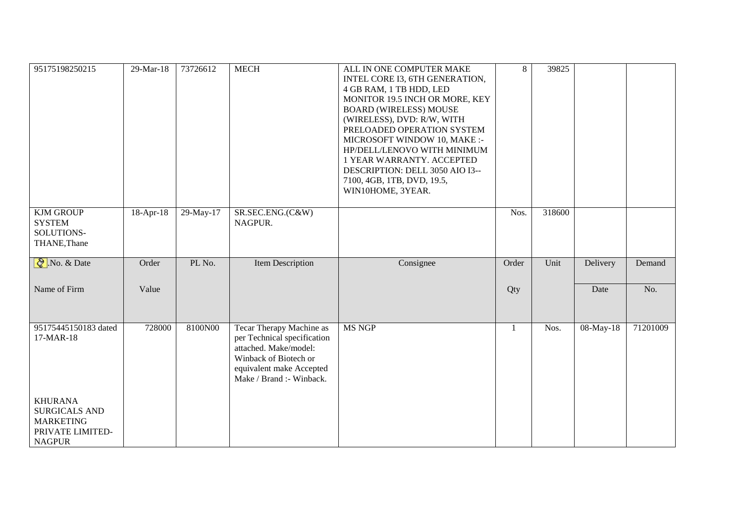| 95175198250215                                                                                  | 29-Mar-18   | 73726612    | <b>MECH</b>                                                                                                                                                       | ALL IN ONE COMPUTER MAKE<br>INTEL CORE I3, 6TH GENERATION,<br>4 GB RAM, 1 TB HDD, LED<br>MONITOR 19.5 INCH OR MORE, KEY<br><b>BOARD (WIRELESS) MOUSE</b><br>(WIRELESS), DVD: R/W, WITH<br>PRELOADED OPERATION SYSTEM<br>MICROSOFT WINDOW 10, MAKE :-<br>HP/DELL/LENOVO WITH MINIMUM<br>1 YEAR WARRANTY. ACCEPTED<br>DESCRIPTION: DELL 3050 AIO I3--<br>7100, 4GB, 1TB, DVD, 19.5,<br>WIN10HOME, 3YEAR. | $\overline{8}$ | 39825  |           |          |
|-------------------------------------------------------------------------------------------------|-------------|-------------|-------------------------------------------------------------------------------------------------------------------------------------------------------------------|--------------------------------------------------------------------------------------------------------------------------------------------------------------------------------------------------------------------------------------------------------------------------------------------------------------------------------------------------------------------------------------------------------|----------------|--------|-----------|----------|
| <b>KJM GROUP</b><br><b>SYSTEM</b><br>SOLUTIONS-<br>THANE, Thane                                 | $18-Apr-18$ | $29-May-17$ | SR.SEC.ENG.(C&W)<br>NAGPUR.                                                                                                                                       |                                                                                                                                                                                                                                                                                                                                                                                                        | Nos.           | 318600 |           |          |
| $\sqrt[3]{}$ . No. & Date                                                                       | Order       | PL No.      | <b>Item Description</b>                                                                                                                                           | Consignee                                                                                                                                                                                                                                                                                                                                                                                              | Order          | Unit   | Delivery  | Demand   |
| Name of Firm                                                                                    | Value       |             |                                                                                                                                                                   |                                                                                                                                                                                                                                                                                                                                                                                                        | Qty            |        | Date      | No.      |
| 95175445150183 dated<br>17-MAR-18                                                               | 728000      | 8100N00     | Tecar Therapy Machine as<br>per Technical specification<br>attached. Make/model:<br>Winback of Biotech or<br>equivalent make Accepted<br>Make / Brand :- Winback. | <b>MS NGP</b>                                                                                                                                                                                                                                                                                                                                                                                          | $\mathbf{1}$   | Nos.   | 08-May-18 | 71201009 |
| <b>KHURANA</b><br><b>SURGICALS AND</b><br><b>MARKETING</b><br>PRIVATE LIMITED-<br><b>NAGPUR</b> |             |             |                                                                                                                                                                   |                                                                                                                                                                                                                                                                                                                                                                                                        |                |        |           |          |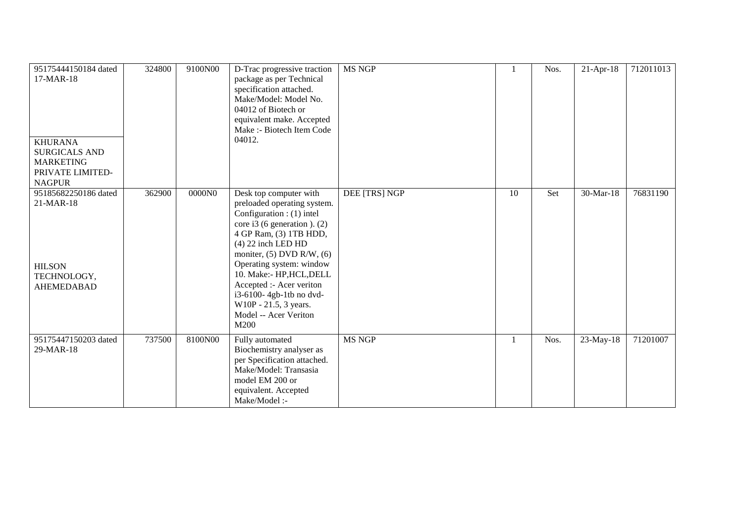| 95175444150184 dated<br>17-MAR-18<br><b>KHURANA</b><br><b>SURGICALS AND</b><br><b>MARKETING</b><br>PRIVATE LIMITED-<br><b>NAGPUR</b> | 324800 | 9100N00 | D-Trac progressive traction<br>package as per Technical<br>specification attached.<br>Make/Model: Model No.<br>04012 of Biotech or<br>equivalent make. Accepted<br>Make :- Biotech Item Code<br>04012.                                                                                                                                                                          | <b>MS NGP</b> |    | Nos. | $21-Apr-18$ | 712011013 |
|--------------------------------------------------------------------------------------------------------------------------------------|--------|---------|---------------------------------------------------------------------------------------------------------------------------------------------------------------------------------------------------------------------------------------------------------------------------------------------------------------------------------------------------------------------------------|---------------|----|------|-------------|-----------|
| 95185682250186 dated<br>21-MAR-18<br><b>HILSON</b><br>TECHNOLOGY,<br><b>AHEMEDABAD</b>                                               | 362900 | 0000N0  | Desk top computer with<br>preloaded operating system.<br>Configuration : (1) intel<br>core i3 (6 generation). $(2)$<br>4 GP Ram, (3) 1TB HDD,<br>$(4)$ 22 inch LED HD<br>moniter, $(5)$ DVD R/W, $(6)$<br>Operating system: window<br>10. Make:- HP, HCL, DELL<br>Accepted :- Acer veriton<br>i3-6100-4gb-1tb no dvd-<br>W10P - 21.5, 3 years.<br>Model -- Acer Veriton<br>M200 | DEE [TRS] NGP | 10 | Set  | 30-Mar-18   | 76831190  |
| 95175447150203 dated<br>29-MAR-18                                                                                                    | 737500 | 8100N00 | Fully automated<br>Biochemistry analyser as<br>per Specification attached.<br>Make/Model: Transasia<br>model EM 200 or<br>equivalent. Accepted<br>Make/Model :-                                                                                                                                                                                                                 | <b>MS NGP</b> |    | Nos. | $23-May-18$ | 71201007  |